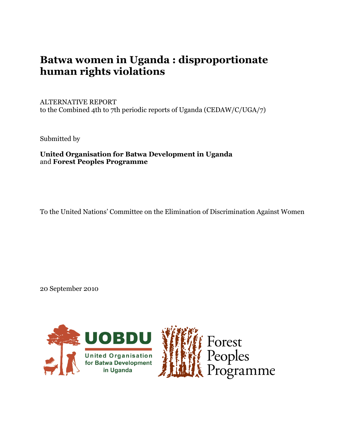# **Batwa women in Uganda : disproportionate human rights violations**

# ALTERNATIVE REPORT

to the Combined 4th to 7th periodic reports of Uganda (CEDAW/C/UGA/7)

Submitted by

**United Organisation for Batwa Development in Uganda** and **Forest Peoples Programme**

To the United Nations' Committee on the Elimination of Discrimination Against Women

20 September 2010

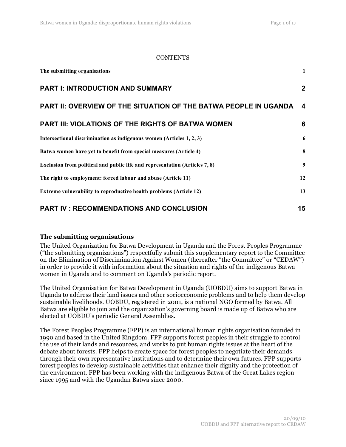#### CONTENTS

| The submitting organisations                                                | 1                |
|-----------------------------------------------------------------------------|------------------|
| <b>PART I: INTRODUCTION AND SUMMARY</b>                                     | $\mathbf{2}$     |
| <b>PART II: OVERVIEW OF THE SITUATION OF THE BATWA PEOPLE IN UGANDA</b>     | $\boldsymbol{4}$ |
| <b>PART III: VIOLATIONS OF THE RIGHTS OF BATWA WOMEN</b>                    | 6                |
| Intersectional discrimination as indigenous women (Articles 1, 2, 3)        | 6                |
| Batwa women have yet to benefit from special measures (Article 4)           | 8                |
| Exclusion from political and public life and representation (Articles 7, 8) | 9                |
| The right to employment: forced labour and abuse (Article 11)               | 12               |
| Extreme vulnerability to reproductive health problems (Article 12)          | 13               |
| <b>PART IV: RECOMMENDATIONS AND CONCLUSION</b>                              | 15               |

#### **The submitting organisations**

The United Organization for Batwa Development in Uganda and the Forest Peoples Programme ("the submitting organizations") respectfully submit this supplementary report to the Committee on the Elimination of Discrimination Against Women (thereafter "the Committee" or "CEDAW") in order to provide it with information about the situation and rights of the indigenous Batwa women in Uganda and to comment on Uganda's periodic report.

The United Organisation for Batwa Development in Uganda (UOBDU) aims to support Batwa in Uganda to address their land issues and other socioeconomic problems and to help them develop sustainable livelihoods. UOBDU, registered in 2001, is a national NGO formed by Batwa. All Batwa are eligible to join and the organization's governing board is made up of Batwa who are elected at UOBDU's periodic General Assemblies.

The Forest Peoples Programme (FPP) is an international human rights organisation founded in 1990 and based in the United Kingdom. FPP supports forest peoples in their struggle to control the use of their lands and resources, and works to put human rights issues at the heart of the debate about forests. FPP helps to create space for forest peoples to negotiate their demands through their own representative institutions and to determine their own futures. FPP supports forest peoples to develop sustainable activities that enhance their dignity and the protection of the environment. FPP has been working with the indigenous Batwa of the Great Lakes region since 1995 and with the Ugandan Batwa since 2000.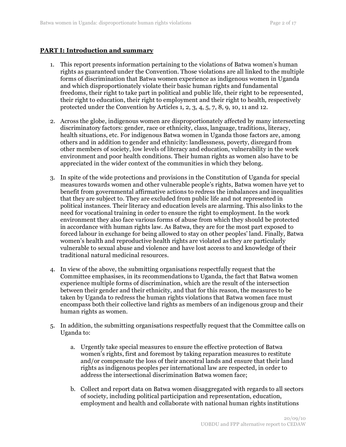### **PART I: Introduction and summary**

- 1. This report presents information pertaining to the violations of Batwa women's human rights as guaranteed under the Convention. Those violations are all linked to the multiple forms of discrimination that Batwa women experience as indigenous women in Uganda and which disproportionately violate their basic human rights and fundamental freedoms, their right to take part in political and public life, their right to be represented, their right to education, their right to employment and their right to health, respectively protected under the Convention by Articles 1, 2, 3, 4, 5, 7, 8, 9, 10, 11 and 12.
- 2. Across the globe, indigenous women are disproportionately affected by many intersecting discriminatory factors: gender, race or ethnicity, class, language, traditions, literacy, health situations, etc. For indigenous Batwa women in Uganda those factors are, among others and in addition to gender and ethnicity: landlessness, poverty, disregard from other members of society, low levels of literacy and education, vulnerability in the work environment and poor health conditions. Their human rights as women also have to be appreciated in the wider context of the communities in which they belong.
- 3. In spite of the wide protections and provisions in the Constitution of Uganda for special measures towards women and other vulnerable people's rights, Batwa women have yet to benefit from governmental affirmative actions to redress the imbalances and inequalities that they are subject to. They are excluded from public life and not represented in political instances. Their literacy and education levels are alarming. This also links to the need for vocational training in order to ensure the right to employment. In the work environment they also face various forms of abuse from which they should be protected in accordance with human rights law. As Batwa, they are for the most part exposed to forced labour in exchange for being allowed to stay on other peoples' land. Finally, Batwa women's health and reproductive health rights are violated as they are particularly vulnerable to sexual abuse and violence and have lost access to and knowledge of their traditional natural medicinal resources.
- 4. In view of the above, the submitting organisations respectfully request that the Committee emphasises, in its recommendations to Uganda, the fact that Batwa women experience multiple forms of discrimination, which are the result of the intersection between their gender and their ethnicity, and that for this reason, the measures to be taken by Uganda to redress the human rights violations that Batwa women face must encompass both their collective land rights as members of an indigenous group and their human rights as women.
- 5. In addition, the submitting organisations respectfully request that the Committee calls on Uganda to:
	- a. Urgently take special measures to ensure the effective protection of Batwa women's rights, first and foremost by taking reparation measures to restitute and/or compensate the loss of their ancestral lands and ensure that their land rights as indigenous peoples per international law are respected, in order to address the intersectional discrimination Batwa women face;
	- b. Collect and report data on Batwa women disaggregated with regards to all sectors of society, including political participation and representation, education, employment and health and collaborate with national human rights institutions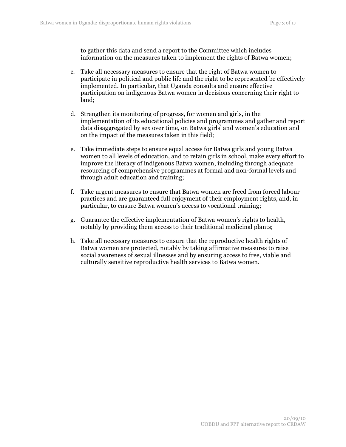to gather this data and send a report to the Committee which includes information on the measures taken to implement the rights of Batwa women;

- c. Take all necessary measures to ensure that the right of Batwa women to participate in political and public life and the right to be represented be effectively implemented. In particular, that Uganda consults and ensure effective participation on indigenous Batwa women in decisions concerning their right to land;
- d. Strengthen its monitoring of progress, for women and girls, in the implementation of its educational policies and programmes and gather and report data disaggregated by sex over time, on Batwa girls' and women's education and on the impact of the measures taken in this field;
- e. Take immediate steps to ensure equal access for Batwa girls and young Batwa women to all levels of education, and to retain girls in school, make every effort to improve the literacy of indigenous Batwa women, including through adequate resourcing of comprehensive programmes at formal and non-formal levels and through adult education and training;
- f. Take urgent measures to ensure that Batwa women are freed from forced labour practices and are guaranteed full enjoyment of their employment rights, and, in particular, to ensure Batwa women's access to vocational training;
- g. Guarantee the effective implementation of Batwa women's rights to health, notably by providing them access to their traditional medicinal plants;
- h. Take all necessary measures to ensure that the reproductive health rights of Batwa women are protected, notably by taking affirmative measures to raise social awareness of sexual illnesses and by ensuring access to free, viable and culturally sensitive reproductive health services to Batwa women.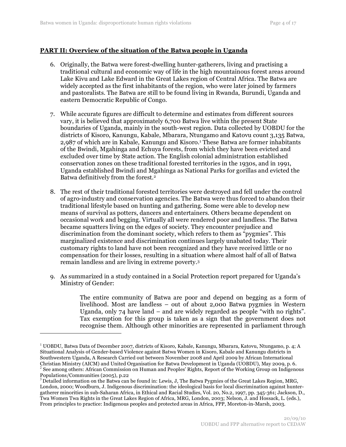# **PART II: Overview of the situation of the Batwa people in Uganda**

- 6. Originally, the Batwa were forest-dwelling hunter-gatherers, living and practising a traditional cultural and economic way of life in the high mountainous forest areas around Lake Kivu and Lake Edward in the Great Lakes region of Central Africa. The Batwa are widely accepted as the first inhabitants of the region, who were later joined by farmers and pastoralists. The Batwa are still to be found living in Rwanda, Burundi, Uganda and eastern Democratic Republic of Congo.
- 7. While accurate figures are difficult to determine and estimates from different sources vary, it is believed that approximately 6,700 Batwa live within the present State boundaries of Uganda, mainly in the south-west region. Data collected by UOBDU for the districts of Kisoro, Kanungu, Kabale, Mbarara, Ntungamo and Katovu count 3,135 Batwa, 2,987 of which are in Kabale, Kanungu and Kisoro. 1 These Batwa are former inhabitants of the Bwindi, Mgahinga and Echuya forests, from which they have been evicted and excluded over time by State action. The English colonial administration established conservation zones on these traditional forested territories in the 1930s, and in 1991, Uganda established Bwindi and Mgahinga as National Parks for gorillas and evicted the Batwa definitively from the forest*.* 2
- 8. The rest of their traditional forested territories were destroyed and fell under the control of agro-industry and conservation agencies. The Batwa were thus forced to abandon their traditional lifestyle based on hunting and gathering. Some were able to develop new means of survival as potters, dancers and entertainers. Others became dependent on occasional work and begging. Virtually all were rendered poor and landless. The Batwa became squatters living on the edges of society. They encounter prejudice and discrimination from the dominant society, which refers to them as "pygmies". This marginalized existence and discrimination continues largely unabated today. Their customary rights to land have not been recognized and they have received little or no compensation for their losses, resulting in a situation where almost half of all of Batwa remain landless and are living in extreme poverty.3
- 9. As summarized in a study contained in a Social Protection report prepared for Uganda's Ministry of Gender:

The entire community of Batwa are poor and depend on begging as a form of livelihood. Most are landless – out of about 2,000 Batwa pygmies in Western Uganda, only 74 have land – and are widely regarded as people "with no rights". Tax exemption for this group is taken as a sign that the government does not recognise them. Although other minorities are represented in parliament through

<sup>&</sup>lt;sup>1</sup> UOBDU, Batwa Data of December 2007, districts of Kisoro, Kabale, Kanungu, Mbarara, Katovu, Ntungamo, p. 4; A Situational Analysis of Gender-based Violence against Batwa Women in Kisoro, Kabale and Kanungu districts in Southwestern Uganda, A Research Carried out between November 2008 and April 2009 by African International Christian Ministry (AICM) and United Organisation for Batwa Development in Uganda (UOBDU), May 2009, p. 6.

<sup>&</sup>lt;sup>2</sup> See among others: African Commission on Human and Peoples' Rights, Report of the Working Group on Indigenous Populations/Communities (2005), p.22<br><sup>3</sup> Detailed information on the Batwa can be found in: Lewis, J, The Batwa Pygmies of the Great Lakes Region, MRG,

London, 2000; Woodburn, J. Indigenous discrimination: the ideological basis for local discrimination against huntergatherer minorities in sub-Saharan Africa, in Ethical and Racial Studies, Vol. 20, No.2, 1997, pp. 345-361; Jackson, D., Twa Women Twa Rights in the Great Lakes Region of Africa, MRG, London, 2003; Nelson, J. and Hossack, L. (eds.), From principles to practice: Indigenous peoples and protected areas in Africa, FPP, Moreton-in-Marsh, 2003.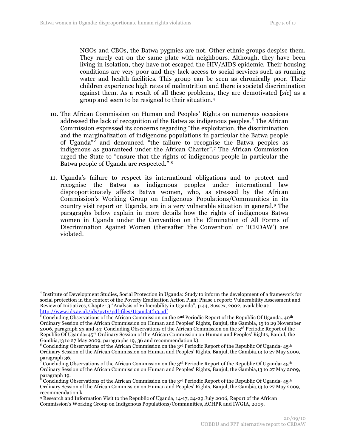NGOs and CBOs, the Batwa pygmies are not. Other ethnic groups despise them. They rarely eat on the same plate with neighbours. Although, they have been living in isolation, they have not escaped the HIV/AIDS epidemic. Their housing conditions are very poor and they lack access to social services such as running water and health facilities. This group can be seen as chronically poor. Their children experience high rates of malnutrition and there is societal discrimination against them. As a result of all these problems, they are demotivated [*sic*] as a group and seem to be resigned to their situation.4

- 10. The African Commission on Human and Peoples' Rights on numerous occasions addressed the lack of recognition of the Batwa as indigenous peoples.<sup>5</sup> The African Commission expressed its concerns regarding "the exploitation, the discrimination and the marginalization of indigenous populations in particular the Batwa people of Uganda<sup>"6</sup> and denounced "the failure to recognise the Batwa peoples as indigenous as guaranteed under the African Charter".7 The African Commission urged the State to "ensure that the rights of indigenous people in particular the Batwa people of Uganda are respected." 8
- 11. Uganda's failure to respect its international obligations and to protect and recognise the Batwa as indigenous peoples under international law disproportionately affects Batwa women, who, as stressed by the African Commission's Working Group on Indigenous Populations/Communities in its country visit report on Uganda, are in a very vulnerable situation in general.9 The paragraphs below explain in more details how the rights of indigenous Batwa women in Uganda under the Convention on the Elimination of All Forms of Discrimination Against Women (thereafter 'the Convention' or 'ICEDAW') are violated.

<sup>&</sup>lt;sup>4</sup> Institute of Development Studies, Social Protection in Uganda: Study to inform the development of a framework for social protection in the context of the Poverty Eradication Action Plan: Phase 1 report: Vulnerability Assessment and Review of Initiatives, Chapter 3 "Analysis of Vulnerability in Uganda", p.44, Sussex, 2002, available at: http://www.ids.ac.uk/ids/pvty/pdf-files/UgandaCh3.pdf <sup>5</sup> Concluding Observations of the African Commission on the 2nd Periodic Report of the Republic Of Uganda**,** 40th

Ordinary Session of the African Commission on Human and Peoples' Rights, Banjul, the Gambia, 15 to 29 November 2006, paragraph 23 and 34; Concluding Observations of the African Commission on the 3rd Periodic Report of the Republic Of Uganda<sub></sub>, 45<sup>th</sup> Ordinary Session of the African Commission on Human and Peoples' Rights, Banjul, the Gambia,13 to 27 May 2009, paragraphs 19, 36 and recommendation k).

 $^6$  Concluding Observations of the African Commission on the 3rd Periodic Report of the Republic Of Uganda, 45th Ordinary Session of the African Commission on Human and Peoples' Rights, Banjul, the Gambia,13 to 27 May 2009, paragraph 36.<br><sup>7</sup> Concluding Observations of the African Commission on the 3<sup>rd</sup> Periodic Report of the Republic Of Uganda<sup>,,</sup> 45<sup>th</sup>

Ordinary Session of the African Commission on Human and Peoples' Rights, Banjul, the Gambia,13 to 27 May 2009, paragraph 19.

Concluding Observations of the African Commission on the 3<sup>rd</sup> Periodic Report of the Republic Of Uganda<sup>,, 45th</sup> Ordinary Session of the African Commission on Human and Peoples' Rights, Banjul, the Gambia,13 to 27 May 2009, recommendation k.

<sup>9</sup> Research and Information Visit to the Republic of Uganda, 14-17, 24-29 July 2006, Report of the African Commission's Working Group on Indigenous Populations/Communities, ACHPR and IWGIA, 2009.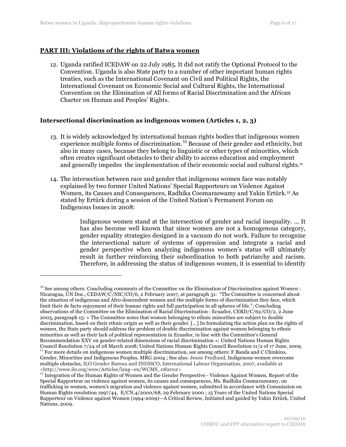## **PART III: Violations of the rights of Batwa women**

 $\overline{a}$ 

12. Uganda ratified ICEDAW on 22 July 1985. It did not ratify the Optional Protocol to the Convention. Uganda is also State party to a number of other important human rights treaties, such as the International Covenant on Civil and Political Rights, the International Covenant on Economic Social and Cultural Rights, the International Convention on the Elimination of All forms of Racial Discrimination and the African Charter on Human and Peoples' Rights.

# **Intersectional discrimination as indigenous women (Articles 1, 2, 3)**

- 13. It is widely acknowledged by international human rights bodies that indigenous women experience multiple forms of discrimination.<sup>10</sup> Because of their gender and ethnicity, but also in many cases, because they belong to linguistic or other types of minorities, which often creates significant obstacles to their ability to access education and employment and generally impedes the implementation of their economic social and cultural rights.11
- 14. The intersection between race and gender that indigenous women face was notably explained by two former United Nations' Special Rapporteurs on Violence Against Women, its Causes and Consequences, Radhika Coomaraswamy and Yakin Ertürk. 12 As stated by Ertürk during a session of the United Nation's Permanent Forum on Indigenous Issues in 2008:

Indigenous women stand at the intersection of gender and racial inequality. ... It has also become well known that since women are not a homogenous category, gender equality strategies designed in a vacuum do not work. Failure to recognize the intersectional nature of systems of oppression and integrate a racial and gender perspective when analyzing indigenous women's status will ultimately result in further reinforcing their subordination to both patriarchy and racism. Therefore, in addressing the status of indigenous women, it is essential to identify

<sup>&</sup>lt;sup>10</sup> See among others: Concluding comments of the Committee on the Elimination of Discrimination against Women : Nicaragua, UN Doc., CEDAW/C/NIC/CO/6, 2 February 2007, at paragraph 31: "The Committee is concerned about the situation of indigenous and Afro-descendent women and the multiple forms of discrimination they face, which limit their de facto enjoyment of their human rights and full participation in all spheres of life."; Concluding observations of the Committee on the Elimination of Racial Discrimination : Ecuador, CERD/C/62/CO/2, 2 June 2003, paragraph 15: « The Committee notes that women belonging to ethnic minorities are subject to double discrimination, based on their ethnic origin as well as their gender. […] In formulating the action plan on the rights of women, the State party should address the problem of double discrimination against women belonging to ethnic minorities as well as their lack of political representation in Ecuador, in line with the Committee's General Recommendation XXV on gender-related dimensions of racial discrimination »; United Nations Human Rights Council Resolution 7/24 of 28 March 2008; United Nations Human Rights Council Resolution 11/2 of 17 June, 2009. <sup>11</sup> For more details on indigenous women multiple discrimination, see among others: F Banda and C Chinkins, Gender, Minorities and Indigenous Peoples, MRG 2004 ; See also: Jessie Fredlund, Indigenous women overcome multiple obstacles, ILO Gender Bureau and INDISCO, International Labour Organisation, 2007, available at

 $\langle$ http://www.ilo.org/wow/Articles/lang--en/WCMS\_082012><br><sup>12</sup> Integration of the Human Rights of Women and the Gender Perspective - Violence Against Women, Report of the Special Rapporteur on violence against women, its causes and consequences, Ms. Radhika Coomaraswamy, on trafficking in women, women's migration and violence against women, submitted in accordance with Commission on Human Rights resolution 1997/44, E/CN.4/2000/68, 29 February 2000 ; 15 Years of the United Nations Special Rapporteur on Violence against Women (1994-2009)—A Critical Review, Initiated and guided by Yakin Ertürk, United Nations, 2009.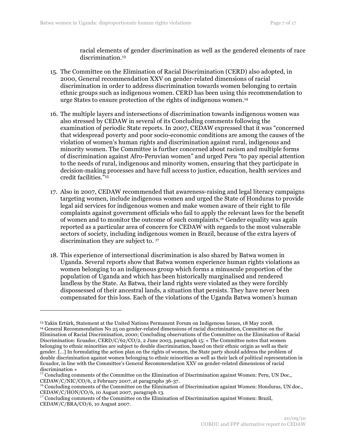racial elements of gender discrimination as well as the gendered elements of race discrimination.13

- 15. The Committee on the Elimination of Racial Discrimination (CERD) also adopted, in 2000, General recommendation XXV on gender-related dimensions of racial discrimination in order to address discrimination towards women belonging to certain ethnic groups such as indigenous women. CERD has been using this recommendation to urge States to ensure protection of the rights of indigenous women.14
- 16. The multiple layers and intersections of discrimination towards indigenous women was also stressed by CEDAW in several of its Concluding comments following the examination of periodic State reports. In 2007, CEDAW expressed that it was "concerned that widespread poverty and poor socio-economic conditions are among the causes of the violation of women's human rights and discrimination against rural, indigenous and minority women. The Committee is further concerned about racism and multiple forms of discrimination against Afro-Peruvian women" and urged Peru "to pay special attention to the needs of rural, indigenous and minority women, ensuring that they participate in decision-making processes and have full access to justice, education, health services and credit facilities."15
- 17. Also in 2007, CEDAW recommended that awareness-raising and legal literacy campaigns targeting women, include indigenous women and urged the State of Honduras to provide legal aid services for indigenous women and make women aware of their right to file complaints against government officials who fail to apply the relevant laws for the benefit of women and to monitor the outcome of such complaints.16 Gender equality was again reported as a particular area of concern for CEDAW with regards to the most vulnerable sectors of society, including indigenous women in Brazil, because of the extra layers of discrimination they are subject to. 17
- 18. This experience of intersectional discrimination is also shared by Batwa women in Uganda. Several reports show that Batwa women experience human rights violations as women belonging to an indigenous group which forms a minuscule proportion of the population of Uganda and which has been historically marginalised and rendered landless by the State. As Batwa, their land rights were violated as they were forcibly dispossessed of their ancestral lands, a situation that persists. They have never been compensated for this loss. Each of the violations of the Uganda Batwa women's human

<sup>13</sup> Yakin Ertürk, Statement at the United Nations Permanent Forum on Indigenous Issues, 18 May 2008. <sup>14</sup> General Recommendation No 25 on gender-related dimensions of racial discrimination, Committee on the Elimination of Racial Discrimination, 2000; Concluding observations of the Committee on the Elimination of Racial Discrimination: Ecuador, CERD/C/62/CO/2, 2 June 2003, paragraph 15: « The Committee notes that women belonging to ethnic minorities are subject to double discrimination, based on their ethnic origin as well as their gender. […] In formulating the action plan on the rights of women, the State party should address the problem of double discrimination against women belonging to ethnic minorities as well as their lack of political representation in Ecuador, in line with the Committee's General Recommendation XXV on gender-related dimensions of racial

discrimination »<br><sup>15</sup> Concluding comments of the Committee on the Elimination of Discrimination against Women: Peru, UN Doc.,<br>CEDAW/C/NIC/CO/6, 2 February 2007, at paragraphs 36-37.

 $^{16}$  Concluding comments of the Committee on the Elimination of Discrimination against Women: Honduras, UN doc., CEDAW/C/HON/CO/6, 10 August 2007, paragraph 13.

 $17$  Concluding comments of the Committee on the Elimination of Discrimination against Women: Brazil, CEDAW/C/BRA/CO/6, 10 August 2007.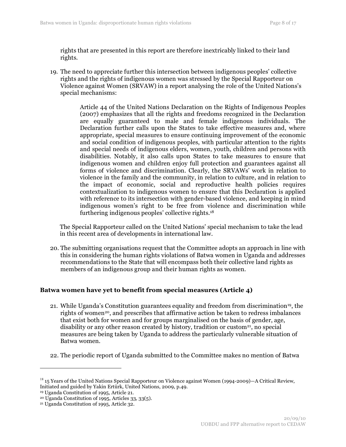rights that are presented in this report are therefore inextricably linked to their land rights.

19. The need to appreciate further this intersection between indigenous peoples' collective rights and the rights of indigenous women was stressed by the Special Rapporteur on Violence against Women (SRVAW) in a report analysing the role of the United Nations's special mechanisms:

> Article 44 of the United Nations Declaration on the Rights of Indigenous Peoples (2007) emphasizes that all the rights and freedoms recognized in the Declaration are equally guaranteed to male and female indigenous individuals. The Declaration further calls upon the States to take effective measures and, where appropriate, special measures to ensure continuing improvement of the economic and social condition of indigenous peoples, with particular attention to the rights and special needs of indigenous elders, women, youth, children and persons with disabilities. Notably, it also calls upon States to take measures to ensure that indigenous women and children enjoy full protection and guarantees against all forms of violence and discrimination. Clearly, the SRVAWs' work in relation to violence in the family and the community, in relation to culture, and in relation to the impact of economic, social and reproductive health policies requires contextualization to indigenous women to ensure that this Declaration is applied with reference to its intersection with gender-based violence, and keeping in mind indigenous women's right to be free from violence and discrimination while furthering indigenous peoples' collective rights.18

The Special Rapporteur called on the United Nations' special mechanism to take the lead in this recent area of developments in international law.

20. The submitting organisations request that the Committee adopts an approach in line with this in considering the human rights violations of Batwa women in Uganda and addresses recommendations to the State that will encompass both their collective land rights as members of an indigenous group and their human rights as women.

#### **Batwa women have yet to benefit from special measures (Article 4)**

- 21. While Uganda's Constitution guarantees equality and freedom from discrimination19, the rights of women<sup>20</sup>, and prescribes that affirmative action be taken to redress imbalances that exist both for women and for groups marginalised on the basis of gender, age, disability or any other reason created by history, tradition or custom<sup>21</sup>, no special measures are being taken by Uganda to address the particularly vulnerable situation of Batwa women.
- 22. The periodic report of Uganda submitted to the Committee makes no mention of Batwa

<sup>&</sup>lt;sup>18</sup> 15 Years of the United Nations Special Rapporteur on Violence against Women (1994-2009)—A Critical Review, Initiated and guided by Yakin Ertürk, United Nations, 2009, p.49.

<sup>19</sup> Uganda Constitution of 1995, Article 21.

 $20 \text{ Uganda Constitution of } 1995$ , Articles 33, 33(5).

<sup>21</sup> Uganda Constitution of 1995, Article 32.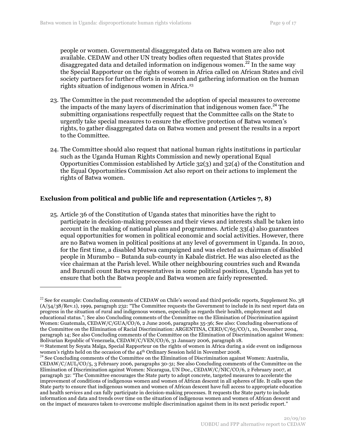people or women. Governmental disaggregated data on Batwa women are also not available. CEDAW and other UN treaty bodies often requested that States provide disaggregated data and detailed information on indigenous women.<sup>22</sup> In the same way the Special Rapporteur on the rights of women in Africa called on African States and civil society partners for further efforts in research and gathering information on the human rights situation of indigenous women in Africa.23

- 23. The Committee in the past recommended the adoption of special measures to overcome the impacts of the many layers of discrimination that indigenous women face.<sup>24</sup> The submitting organisations respectfully request that the Committee calls on the State to urgently take special measures to ensure the effective protection of Batwa women's rights, to gather disaggregated data on Batwa women and present the results in a report to the Committee.
- 24. The Committee should also request that national human rights institutions in particular such as the Uganda Human Rights Commission and newly operational Equal Opportunities Commission established by Article 32(3) and 32(4) of the Constitution and the Equal Opportunities Commission Act also report on their actions to implement the rights of Batwa women.

# **Exclusion from political and public life and representation (Articles 7, 8)**

25. Article 36 of the Constitution of Uganda states that minorities have the right to participate in decision-making processes and their views and interests shall be taken into account in the making of national plans and programmes. Article 33(4) also guarantees equal opportunities for women in political economic and social activities. However, there are no Batwa women in political positions at any level of government in Uganda. In 2010, for the first time, a disabled Mutwa campaigned and was elected as chairman of disabled people in Murambo – Butanda sub-county in Kabale district. He was also elected as the vice chairman at the Parish level. While other neighbouring countries such and Rwanda and Burundi count Batwa representatives in some political positions, Uganda has yet to ensure that both the Batwa people and Batwa women are fairly represented.

 $^{22}$  See for example: Concluding comments of CEDAW on Chile's second and third periodic reports, Supplement No. 38 (A/54/38/Rev.1), 1999, paragraph 232: "The Committee requests the Government to include in its next report data on progress in the situation of rural and indigenous women, especially as regards their health, employment and educational status."; See also Concluding comments of the Committee on the Elimination of Discrimination against Women: Guatemala, CEDAW/C/GUA/CO/6, 2 June 2006, paragraphs 35-36; See also: Concluding observations of the Committee on the Elimination of Racial Discrimination: ARGENTINA, CERD/C/65/CO/1, 10, December 2004, paragraph 14; See also Concluding comments of the Committee on the Elimination of Discrimination against Women: Bolivarian Republic of Venezuela, CEDAW/C/VEN/CO/6, 31 January 2006, paragraph 18.

<sup>&</sup>lt;sup>23</sup> Statement by Soyata Maïga, Special Rapporteur on the rights of women in Africa during a side event on indigenous women's rights held on the occasion of the  $44<sup>th</sup>$  Ordinary Session held in November 2008.

<sup>&</sup>lt;sup>24</sup> See Concluding comments of the Committee on the Elimination of Discrimination against Women: Australia, CEDAW/C/AUL/CO/5, 3 February 2006, paragraphs 30-31; See also Concluding comments of the Committee on the Elimination of Discrimination against Women: Nicaragua, UN Doc., CEDAW/C/NIC/CO/6, 2 February 2007, at paragraph 32: "The Committee encourages the State party to adopt concrete, targeted measures to accelerate the improvement of conditions of indigenous women and women of African descent in all spheres of life. It calls upon the State party to ensure that indigenous women and women of African descent have full access to appropriate education and health services and can fully participate in decision-making processes. It requests the State party to include information and data and trends over time on the situation of indigenous women and women of African descent and on the impact of measures taken to overcome multiple discrimination against them in its next periodic report."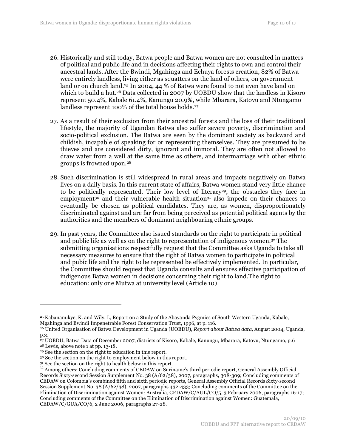- 26. Historically and still today, Batwa people and Batwa women are not consulted in matters of political and public life and in decisions affecting their rights to own and control their ancestral lands. After the Bwindi, Mgahinga and Echuya forests creation, 82% of Batwa were entirely landless, living either as squatters on the land of others, on government land or on church land.<sup>25</sup> In 2004, 44 % of Batwa were found to not even have land on which to build a hut.<sup>26</sup> Data collected in 2007 by UOBDU show that the landless in Kisoro represent 50.4%, Kabale 61.4%, Kanungu 20.9%, while Mbarara, Katovu and Ntungamo landless represent 100% of the total house holds.27
- 27. As a result of their exclusion from their ancestral forests and the loss of their traditional lifestyle, the majority of Ugandan Batwa also suffer severe poverty, discrimination and socio-political exclusion. The Batwa are seen by the dominant society as backward and childish, incapable of speaking for or representing themselves. They are presumed to be thieves and are considered dirty, ignorant and immoral. They are often not allowed to draw water from a well at the same time as others, and intermarriage with other ethnic groups is frowned upon.28
- 28. Such discrimination is still widespread in rural areas and impacts negatively on Batwa lives on a daily basis. In this current state of affairs, Batwa women stand very little chance to be politically represented. Their low level of literacy<sup>29</sup>, the obstacles they face in employment<sup>30</sup> and their vulnerable health situation<sup>31</sup> also impede on their chances to eventually be chosen as political candidates. They are, as women, disproportionately discriminated against and are far from being perceived as potential political agents by the authorities and the members of dominant neighbouring ethnic groups.
- 29. In past years, the Committee also issued standards on the right to participate in political and public life as well as on the right to representation of indigenous women.32 The submitting organisations respectfully request that the Committee asks Uganda to take all necessary measures to ensure that the right of Batwa women to participate in political and pubic life and the right to be represented be effectively implemented. In particular, the Committee should request that Uganda consults and ensures effective participation of indigenous Batwa women in decisions concerning their right to land.The right to education: only one Mutwa at university level (Article 10)

<sup>25</sup> Kabananukye, K. and Wily, L, Report on a Study of the Abayanda Pygmies of South Western Uganda, Kabale, Mgahinga and Bwindi Impenetrable Forest Conservation Trust, 1996, at p. 116.

<sup>26</sup> United Organisation of Batwa Development in Uganda (UOBDU), *Report about Batwa data*, August 2004, Uganda, p.3.

<sup>27</sup> UOBDU, Batwa Data of December 2007, districts of Kisoro, Kabale, Kanungu, Mbarara, Katovu, Ntungamo, p.6 28 Lewis, above note 1 at pp. 13-18.

<sup>29</sup> See the section on the right to education in this report.

<sup>30</sup> See the section on the right to employment below in this report.

 $31$  See the section on the right to health below in this report.<br> $32$  Among others: Concluding comments of CEDAW on Suriname's third periodic report, General Assembly Official Records Sixty-second Session Supplement No. 38 (A/62/38), 2007, paragraphs, 308-309; Concluding comments of CEDAW on Colombia's combined fifth and sixth periodic reports, General Assembly Official Records Sixty-second Session Supplement No. 38 (A/62/38), 2007, paragraphs 432-433; Concluding comments of the Committee on the Elimination of Discrimination against Women: Australia, CEDAW/C/AUL/CO/5, 3 February 2006, paragraphs 16-17; Concluding comments of the Committee on the Elimination of Discrimination against Women: Guatemala, CEDAW/C/GUA/CO/6, 2 June 2006, paragraphs 27-28.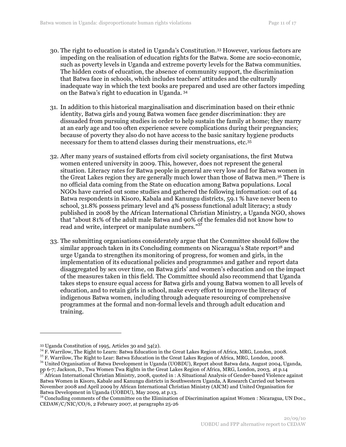- 30. The right to education is stated in Uganda's Constitution.33 However, various factors are impeding on the realisation of education rights for the Batwa. Some are socio-economic, such as poverty levels in Uganda and extreme poverty levels for the Batwa communities. The hidden costs of education, the absence of community support, the discrimination that Batwa face in schools, which includes teachers' attitudes and the culturally inadequate way in which the text books are prepared and used are other factors impeding on the Batwa's right to education in Uganda. <sup>34</sup>
- 31. In addition to this historical marginalisation and discrimination based on their ethnic identity, Batwa girls and young Batwa women face gender discrimination: they are dissuaded from pursuing studies in order to help sustain the family at home; they marry at an early age and too often experience severe complications during their pregnancies; because of poverty they also do not have access to the basic sanitary hygiene products necessary for them to attend classes during their menstruations, etc.35
- 32. After many years of sustained efforts from civil society organisations, the first Mutwa women entered university in 2009. This, however, does not represent the general situation. Literacy rates for Batwa people in general are very low and for Batwa women in the Great Lakes region they are generally much lower than those of Batwa men.36 There is no official data coming from the State on education among Batwa populations. Local NGOs have carried out some studies and gathered the following information: out of 44 Batwa respondents in Kisoro, Kabala and Kanungu districts, 59.1 % have never been to school, 31.8% possess primary level and 4% possess functional adult literacy; a study published in 2008 by the African International Christian Ministry, a Uganda NGO, shows that "about 81% of the adult male Batwa and 90% of the females did not know how to read and write, interpret or manipulate numbers."<sup>37</sup>
- 33. The submitting organisations considerately argue that the Committee should follow the similar approach taken in its Concluding comments on Nicaragua's State report38 and urge Uganda to strengthen its monitoring of progress, for women and girls, in the implementation of its educational policies and programmes and gather and report data disaggregated by sex over time, on Batwa girls' and women's education and on the impact of the measures taken in this field. The Committee should also recommend that Uganda takes steps to ensure equal access for Batwa girls and young Batwa women to all levels of education, and to retain girls in school, make every effort to improve the literacy of indigenous Batwa women, including through adequate resourcing of comprehensive programmes at the formal and non-formal levels and through adult education and training.

<sup>36</sup> United Organisation of Batwa Development in Uganda (UOBDU), Report about Batwa data, August 2004, Uganda, pp 6-7; Jackson, D., Twa Women Twa Rights in the Great Lakes Region of Africa, MRG, London, 2003, at p.14

African International Christian Ministry, 2008, quoted in : A Situational Analysis of Gender-based Violence against Batwa Women in Kisoro, Kabale and Kanungu districts in Southwestern Uganda, A Research Carried out between November 2008 and April 2009 by African International Christian Ministry (AICM) and United Organisation for Batwa Development in Uganda (UOBDU), May 2009, at p.13.

<sup>&</sup>lt;sup>33</sup> Uganda Constitution of 1995, Articles 30 and 34(2).<br><sup>34</sup> F. Warrilow, The Right to Learn: Batwa Education in the Great Lakes Region of Africa, MRG, London, 2008.<br><sup>35</sup> F. Warrilow, The Right to Lear: Batwa Education in

 $38$  Concluding comments of the Committee on the Elimination of Discrimination against Women : Nicaragua, UN Doc., CEDAW/C/NIC/CO/6, 2 February 2007, at paragraphs 25-26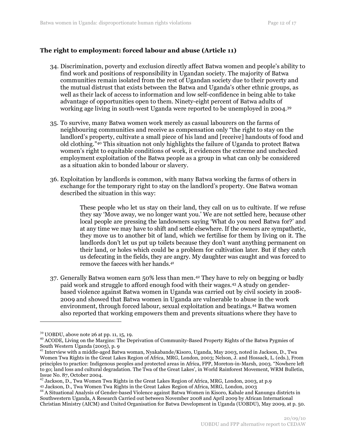# **The right to employment: forced labour and abuse (Article 11)**

- 34. Discrimination, poverty and exclusion directly affect Batwa women and people's ability to find work and positions of responsibility in Ugandan society. The majority of Batwa communities remain isolated from the rest of Ugandan society due to their poverty and the mutual distrust that exists between the Batwa and Uganda's other ethnic groups, as well as their lack of access to information and low self-confidence in being able to take advantage of opportunities open to them. Ninety-eight percent of Batwa adults of working age living in south-west Uganda were reported to be unemployed in 2004.39
- 35. To survive, many Batwa women work merely as casual labourers on the farms of neighbouring communities and receive as compensation only "the right to stay on the landlord's property, cultivate a small piece of his land and [receive] handouts of food and old clothing."40 This situation not only highlights the failure of Uganda to protect Batwa women's right to equitable conditions of work, it evidences the extreme and unchecked employment exploitation of the Batwa people as a group in what can only be considered as a situation akin to bonded labour or slavery.
- 36. Exploitation by landlords is common, with many Batwa working the farms of others in exchange for the temporary right to stay on the landlord's property. One Batwa woman described the situation in this way:

These people who let us stay on their land, they call on us to cultivate. If we refuse they say 'Move away, we no longer want you.' We are not settled here, because other local people are pressing the landowners saying 'What do you need Batwa for?' and at any time we may have to shift and settle elsewhere. If the owners are sympathetic, they move us to another bit of land, which we fertilise for them by living on it. The landlords don't let us put up toilets because they don't want anything permanent on their land, or holes which could be a problem for cultivation later. But if they catch us defecating in the fields, they are angry. My daughter was caught and was forced to remove the faeces with her hands.*<sup>41</sup>*

37. Generally Batwa women earn 50% less than men.42 They have to rely on begging or badly paid work and struggle to afford enough food with their wages.43 A study on genderbased violence against Batwa women in Uganda was carried out by civil society in 2008- 2009 and showed that Batwa women in Uganda are vulnerable to abuse in the work environment, through forced labour, sexual exploitation and beatings.44 Batwa women also reported that working empowers them and prevents situations where they have to

 $^{39}$  UOBDU, above note 26 at pp. 11, 15, 19.<br> $^{40}$  ACODE, Living on the Margins: The Deprivation of Community-Based Property Rights of the Batwa Pygmies of South Western Uganda (2005), p. 9

<sup>&</sup>lt;sup>41</sup> Interview with a middle-aged Batwa woman, Nyakabande/Kisoro, Uganda, May 2003, noted in Jackson, D., Twa Women Twa Rights in the Great Lakes Region of Africa, MRG, London, 2003; Nelson, J. and Hossack, L. (eds.), From principles to practice: Indigenous peoples and protected areas in Africa, FPP, Moreton-in-Marsh, 2003. "Nowhere left to go; land loss and cultural degradation. The Twa of the Great Lakes', in World Rainforest Movement, WRM Bulletin, Issue No. 87, October 2004.

 $^{42}$  Jackson, D., Twa Women Twa Rights in the Great Lakes Region of Africa, MRG, London, 2003, at p.9<br> $^{43}$  Jackson, D., Twa Women Twa Rights in the Great Lakes Region of Africa, MRG, London, 2003

<sup>&</sup>lt;sup>44</sup> A Situational Analysis of Gender-based Violence against Batwa Women in Kisoro, Kabale and Kanungu districts in Southwestern Uganda, A Research Carried out between November 2008 and April 2009 by African International Christian Ministry (AICM) and United Organisation for Batwa Development in Uganda (UOBDU), May 2009, at p. 50.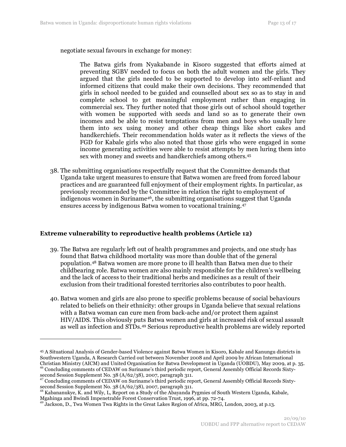negotiate sexual favours in exchange for money:

The Batwa girls from Nyakabande in Kisoro suggested that efforts aimed at preventing SGBV needed to focus on both the adult women and the girls. They argued that the girls needed to be supported to develop into self-reliant and informed citizens that could make their own decisions. They recommended that girls in school needed to be guided and counselled about sex so as to stay in and complete school to get meaningful employment rather than engaging in commercial sex. They further noted that those girls out of school should together with women be supported with seeds and land so as to generate their own incomes and be able to resist temptations from men and boys who usually lure them into sex using money and other cheap things like short cakes and handkerchiefs. Their recommendation holds water as it reflects the views of the FGD for Kabale girls who also noted that those girls who were engaged in some income generating activities were able to resist attempts by men luring them into sex with money and sweets and handkerchiefs among others.45

38. The submitting organisations respectfully request that the Committee demands that Uganda take urgent measures to ensure that Batwa women are freed from forced labour practices and are guaranteed full enjoyment of their employment rights. In particular, as previously recommended by the Committee in relation the right to employment of indigenous women in Suriname46, the submitting organisations suggest that Uganda ensures access by indigenous Batwa women to vocational training.47

#### **Extreme vulnerability to reproductive health problems (Article 12)**

- 39. The Batwa are regularly left out of health programmes and projects, and one study has found that Batwa childhood mortality was more than double that of the general population.48 Batwa women are more prone to ill health than Batwa men due to their childbearing role. Batwa women are also mainly responsible for the children's wellbeing and the lack of access to their traditional herbs and medicines as a result of their exclusion from their traditional forested territories also contributes to poor health.
- 40. Batwa women and girls are also prone to specific problems because of social behaviours related to beliefs on their ethnicity: other groups in Uganda believe that sexual relations with a Batwa woman can cure men from back-ache and/or protect them against HIV/AIDS. This obviously puts Batwa women and girls at increased risk of sexual assault as well as infection and STDs.49 Serious reproductive health problems are widely reported

<sup>45</sup> A Situational Analysis of Gender-based Violence against Batwa Women in Kisoro, Kabale and Kanungu districts in Southwestern Uganda, A Research Carried out between November 2008 and April 2009 by African International Christian Ministry (AICM) and United Organisation for Batwa Development in Uganda (UOBDU), May 2009, at p. 35.<br><sup>46</sup> Concluding comments of CEDAW on Suriname's third periodic report, General Assembly Official Records Sixty-

second Session Supplement No. 38 (A/62/38), 2007, paragraph 311.<br><sup>47</sup> Concluding comments of CEDAW on Suriname's third periodic report, General Assembly Official Records Sixty-<br>second Session Supplement No. 38 (A/62/38),

<sup>&</sup>lt;sup>48</sup> Kabananukye, K. and Wily, L, Report on a Study of the Abayanda Pygmies of South Western Uganda, Kabale, Mgahinga and Bwindi Impenetrable Forest Conservation Trust, 1996, at pp. 72-74.

<sup>&</sup>lt;sup>49</sup> Jackson, D., Twa Women Twa Rights in the Great Lakes Region of Africa, MRG, London, 2003, at p.13.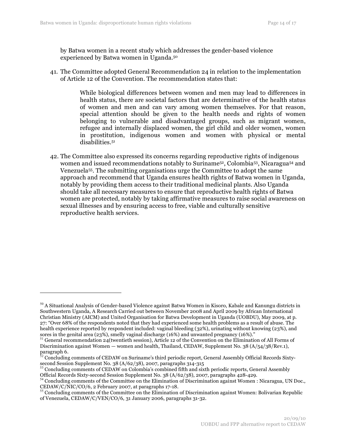by Batwa women in a recent study which addresses the gender-based violence experienced by Batwa women in Uganda.50

41. The Committee adopted General Recommendation 24 in relation to the implementation of Article 12 of the Convention. The recommendation states that:

> While biological differences between women and men may lead to differences in health status, there are societal factors that are determinative of the health status of women and men and can vary among women themselves. For that reason, special attention should be given to the health needs and rights of women belonging to vulnerable and disadvantaged groups, such as migrant women, refugee and internally displaced women, the girl child and older women, women in prostitution, indigenous women and women with physical or mental disabilities.51

42. The Committee also expressed its concerns regarding reproductive rights of indigenous women and issued recommendations notably to Suriname<sup>52</sup>, Colombia<sup>53</sup>, Nicaragua<sup>54</sup> and Venezuela55. The submitting organisations urge the Committee to adopt the same approach and recommend that Uganda ensures health rights of Batwa women in Uganda, notably by providing them access to their traditional medicinal plants. Also Uganda should take all necessary measures to ensure that reproductive health rights of Batwa women are protected, notably by taking affirmative measures to raise social awareness on sexual illnesses and by ensuring access to free, viable and culturally sensitive reproductive health services.

 $50$  A Situational Analysis of Gender-based Violence against Batwa Women in Kisoro, Kabale and Kanungu districts in Southwestern Uganda, A Research Carried out between November 2008 and April 2009 by African International Christian Ministry (AICM) and United Organisation for Batwa Development in Uganda (UOBDU), May 2009, at p. 27: "Over 68% of the respondents noted that they had experienced some health problems as a result of abuse. The health experience reported by respondent included: vaginal bleeding (32%), urinating without knowing (23%), and sores in the genital area (23%), smelly vaginal discharge (16%) and unwanted pregnancy (16%)."<br><sup>51</sup> General recommendation 24(twentieth session), Article 12 of the Convention on the Elimination of All Forms of

Discrimination against Women — women and health, Thailand, CEDAW, Supplement No. 38 (A/54/38/Rev.1), paragraph 6.

 $52$  Concluding comments of CEDAW on Suriname's third periodic report, General Assembly Official Records Sixty-

second Session Supplement No. 38 (A/62/38), 2007, paragraphs 314-315<br><sup>53</sup> Concluding comments of CEDAW on Colombia's combined fifth and sixth periodic reports, General Assembly<br>Official Records Sixty-second Session Supple

 $^{54}$  Concluding comments of the Committee on the Elimination of Discrimination against Women : Nicaragua, UN Doc., CEDAW/C/NIC/CO/6, 2 February 2007, at paragraphs 17-18.<br><sup>55</sup> Concluding comments of the Committee on the Elimination of Discrimination against Women: Bolivarian Republic

of Venezuela, CEDAW/C/VEN/CO/6, 31 January 2006, paragraphs 31-32.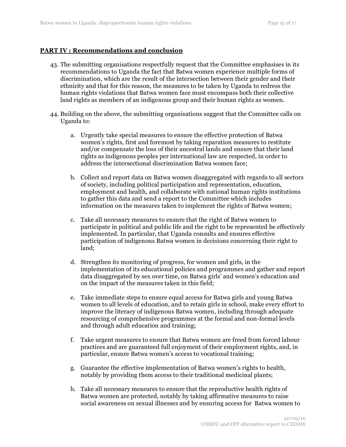## **PART IV : Recommendations and conclusion**

- 43. The submitting organisations respectfully request that the Committee emphasises in its recommendations to Uganda the fact that Batwa women experience multiple forms of discrimination, which are the result of the intersection between their gender and their ethnicity and that for this reason, the measures to be taken by Uganda to redress the human rights violations that Batwa women face must encompass both their collective land rights as members of an indigenous group and their human rights as women.
- 44. Building on the above, the submitting organisations suggest that the Committee calls on Uganda to:
	- a. Urgently take special measures to ensure the effective protection of Batwa women's rights, first and foremost by taking reparation measures to restitute and/or compensate the loss of their ancestral lands and ensure that their land rights as indigenous peoples per international law are respected, in order to address the intersectional discrimination Batwa women face;
	- b. Collect and report data on Batwa women disaggregated with regards to all sectors of society, including political participation and representation, education, employment and health, and collaborate with national human rights institutions to gather this data and send a report to the Committee which includes information on the measures taken to implement the rights of Batwa women;
	- c. Take all necessary measures to ensure that the right of Batwa women to participate in political and public life and the right to be represented be effectively implemented. In particular, that Uganda consults and ensures effective participation of indigenous Batwa women in decisions concerning their right to land;
	- d. Strengthen its monitoring of progress, for women and girls, in the implementation of its educational policies and programmes and gather and report data disaggregated by sex over time, on Batwa girls' and women's education and on the impact of the measures taken in this field;
	- e. Take immediate steps to ensure equal access for Batwa girls and young Batwa women to all levels of education, and to retain girls in school, make every effort to improve the literacy of indigenous Batwa women, including through adequate resourcing of comprehensive programmes at the formal and non-formal levels and through adult education and training;
	- f. Take urgent measures to ensure that Batwa women are freed from forced labour practices and are guaranteed full enjoyment of their employment rights, and, in particular, ensure Batwa women's access to vocational training;
	- g. Guarantee the effective implementation of Batwa women's rights to health, notably by providing them access to their traditional medicinal plants;
	- h. Take all necessary measures to ensure that the reproductive health rights of Batwa women are protected, notably by taking affirmative measures to raise social awareness on sexual illnesses and by ensuring access for Batwa women to